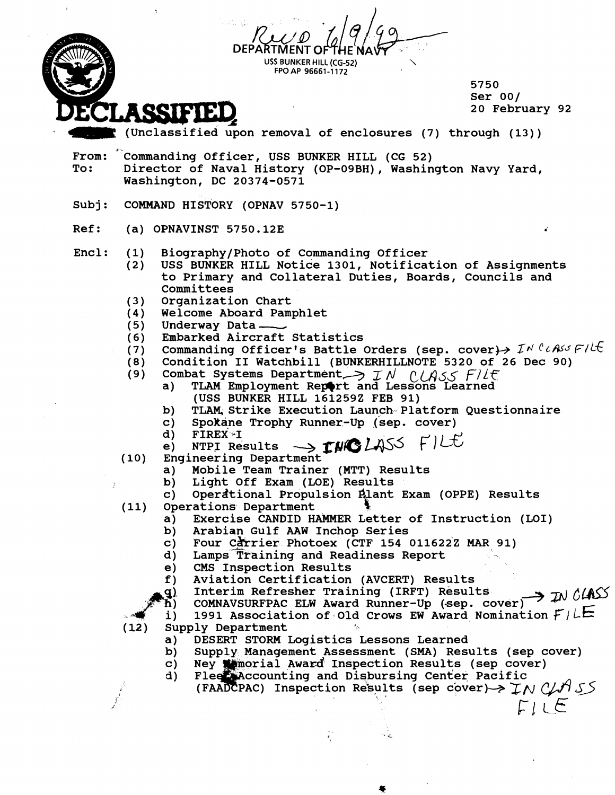|      |       | USS BUNKER HILL (CG-52)<br>FPO AP 96661-1172                                                                                                                                                                         |
|------|-------|----------------------------------------------------------------------------------------------------------------------------------------------------------------------------------------------------------------------|
|      |       | 5750<br>Ser $00/$<br>20 February 92<br>ASSICICI                                                                                                                                                                      |
|      |       | (Unclassified upon removal of enclosures (7) through (13))                                                                                                                                                           |
| To:  | From: | Commanding Officer, USS BUNKER HILL (CG 52)<br>Director of Naval History (OP-09BH), Washington Navy Yard,<br>Washington, DC 20374-0571                                                                               |
|      | Subj: | COMMAND HISTORY (OPNAV 5750-1)                                                                                                                                                                                       |
| Ref: |       | $(a)$ OPNAVINST 5750.12E                                                                                                                                                                                             |
|      | Encl: | Biography/Photo of Commanding Officer<br>(1)<br>USS BUNKER HILL Notice 1301, Notification of Assignments<br>(2)<br>to Primary and Collateral Duties, Boards, Councils and<br>Committees<br>Organization Chart<br>(3) |
|      |       | Welcome Aboard Pamphlet<br>(4)<br>Underway Data —<br>(5)                                                                                                                                                             |
|      |       | Embarked Aircraft Statistics<br>(6)<br>Commanding Officer's Battle Orders (sep. cover) $\rightarrow$ $I^{\prime\prime}$ $\ell$ $\land$ $\land$ $\ell$ $\land$ $\ell$<br>(7)                                          |
|      |       | Condition II Watchbill (BUNKERHILLNOTE 5320 of 26 Dec 90)<br>(8)                                                                                                                                                     |
|      |       | Combat Systems Department >> IN CLASS FILE<br>(9)<br>TLAM Employment Report and Lessons Learned<br>a)<br>(USS BUNKER HILL 1612592 FEB 91)                                                                            |
|      |       | TLAM, Strike Execution Launch Platform Questionnaire<br>$\mathbf{b}$<br>Spokane Trophy Runner-Up (sep. cover)<br>C)<br><b>FIREX I</b><br>d)                                                                          |
|      |       | e)<br>Engineering Department<br>(10)                                                                                                                                                                                 |
|      |       | Mobile Team Trainer (MTT) Results<br>a)<br>Light Off Exam (LOE) Results<br>b)                                                                                                                                        |
|      |       | Operational Propulsion Plant Exam (OPPE) Results<br>C)<br>Operations Department<br>(11)                                                                                                                              |
|      |       | Exercise CANDID HAMMER Letter of Instruction (LOI)<br>a)                                                                                                                                                             |
|      |       | Arabian Gulf AAW Inchop Series<br>b)<br>Four Carrier Photoex (CTF 154 011622Z MAR 91)<br>$\mathbf{c}$                                                                                                                |
|      |       | Lamps Training and Readiness Report<br>$\mathbf{d}$                                                                                                                                                                  |
|      |       | CMS Inspection Results<br>e)<br>Aviation Certification (AVCERT) Results<br>f)                                                                                                                                        |
|      |       | Interim Refresher Training (IRFT) Results<br>g)<br>COMNAVSURFPAC ELW Award Runner-Up (sep. cover) $\rightarrow$ IN CLASS<br>ת)                                                                                       |
|      |       | 1991 Association of Old Crows EW Award Nomination $F/LE$<br>i)<br>(12)<br>Supply Department<br>šл.                                                                                                                   |
|      |       | DESERT STORM Logistics Lessons Learned<br>a)                                                                                                                                                                         |
|      |       | Supply Management Assessment (SMA) Results (sep cover)<br>b)<br>Ney We morial Award Inspection Results (sep cover)<br>C)                                                                                             |
|      |       | Flee Accounting and Disbursing Center Pacific<br>d)<br>(FAADCPAC) Inspection Results (sep cover) $\rightarrow \pm N$ C/H SS<br>FILE                                                                                  |
|      |       |                                                                                                                                                                                                                      |

 $\sim$ 

 $\overline{\phantom{a}}$ 

 $\overline{\mathcal{L}}$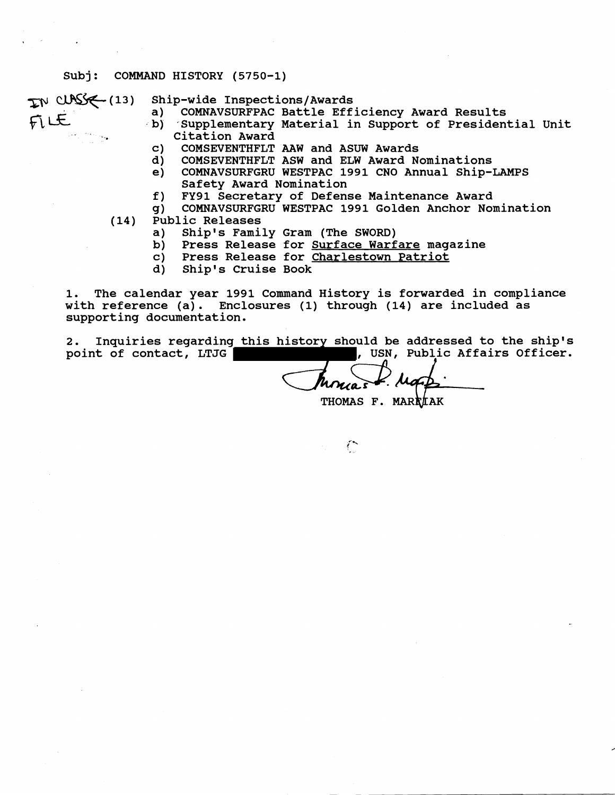#### **Subj: COMMAND HISTORY (5750-1)**

- 
- IN CUNSS (13) Ship-wide Inspections/Awards<br>a) COMNAVSURFPAC Battle Efficiency Award Results
- IN CUNSS (13) Ship-wide Inspections/Awards<br>
a) COMNAVSURFPAC Battle Efficiency Award Results<br>
b) Supplementary Material in Support of Presidential Unit<br>
Citation Award **Citation Award** 
	- **c) COMSEVENTHFLT** AAW **and ASUW Awards**
	- **d) COMSEVENTHFLT ASW and ELW Award Nominations**
	- **e) COMNAVSURFGRU WESTPAC 1991 CNO Annual Ship-LAMPS Safety Award Nomination**
	- **f) FY91 Secretary of Defense Maintenance Award**
	- **g) COMNAVSURFGRU WESTPAC 1991 Golden Anchor Nomination**
	- **(14) Public Releases** 
		- **a) Shipls Family Gram (The SWORD)**
		- **b) Press Release for Surface Warfare magazine**
		- **c) Press Release for Charlestown Patriot**
		- **d) Ship1 s Cruise Book**

**1. The calendar year 1991 Command History is forwarded in compliance with reference (a). Enclosures (1) through (14) are included as supporting documentation.** 

**2. Inquiries regarding this history should be addressed to the ship's**  point of contact, LTJG **All Affairs Officer.** (USN, Public Affairs Officer.

THOMAS F. MARKLAK

 $\mathcal{L}^{\bullet}$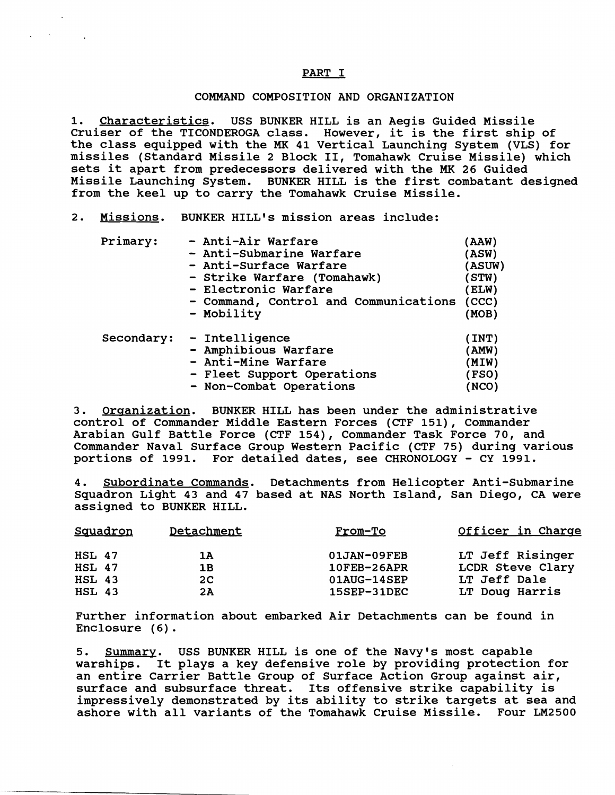### PART I

### COMMAND COMPOSITION AND ORGANIZATION

1. Characteristics. USS BUNKER HILL is an Aegis Guided Missile Cruiser of the TICONDEROGA class. However, it is the first ship of the class equipped with the **MK** 41 Vertical Launching System (VLS) for missiles (Standard Missile 2 Block 11, Tomahawk Cruise Missile) which sets it apart from predecessors delivered with the **MK** 26 Guided Missile Launching System. BUNKER HILL is the first combatant designed from the keel up to carry the Tomahawk Cruise Missile.

### 2. Missions. BUNKER HILL'S mission areas include:

| Primary:   | - Anti-Air Warfare                    | (AAW)         |
|------------|---------------------------------------|---------------|
|            | - Anti-Submarine Warfare              | (ASW)         |
|            | - Anti-Surface Warfare                | <b>(ASUW)</b> |
|            | - Strike Warfare (Tomahawk)           | STW)          |
|            | - Electronic Warfare                  | ELW)          |
|            | - Command, Control and Communications | (CCC)         |
|            | - Mobility                            | (MOB)         |
| Secondary: | - Intelligence                        | (INT)         |
|            | - Amphibious Warfare                  | (AMW)         |
|            | - Anti-Mine Warfare                   | (MIW)         |
|            | - Fleet Support Operations            | (FSO)         |
|            | - Non-Combat Operations               | (NCO)         |

3. Organization. BUNKER HILL has been under the administrative control of Commander Middle Eastern Forces (CTF 151), Commander Arabian Gulf Battle Force (CTF 154), Commander Task Force 70, and Commander Naval Surface Group Western Pacific (CTF 75) during various portions of 1991. For detailed dates, see CHRONOLOGY - CY 1991.

**4.** Subordinate Commands. Detachments from Helicopter Anti-Submarine Squadron Light 43 and 47 based at NAS North Island, San Diego, CA were assigned to BUNKER HILL.

| <b>Squadron</b> | Detachment     | <b>From-To</b>     | Officer in Charge |
|-----------------|----------------|--------------------|-------------------|
| $HSL$ 47        | 1A             | 01JAN-09FEB        | LT Jeff Risinger  |
| <b>HSL 47</b>   | 1B             | 10FEB-26APR        | LCDR Steve Clary  |
| <b>HSL 43</b>   | 2 <sup>C</sup> | 01AUG-14SEP        | LT Jeff Dale      |
| <b>HSL 43</b>   | 2A             | <b>15SEP-31DEC</b> | LT Doug Harris    |

Further information about embarked Air Detachments can be found in Enclosure (6).

5. Summary. USS BUNKER HILL is one of the Navy's most capable warships. It plays a key defensive role by providing protection for an entire Carrier Battle Group of Surface Action Group against air, surface and subsurface threat. Its offensive strike capability is impressively demonstrated by its ability to strike targets at sea and ashore with all variants of the Tomahawk Cruise Missile. Four LM2500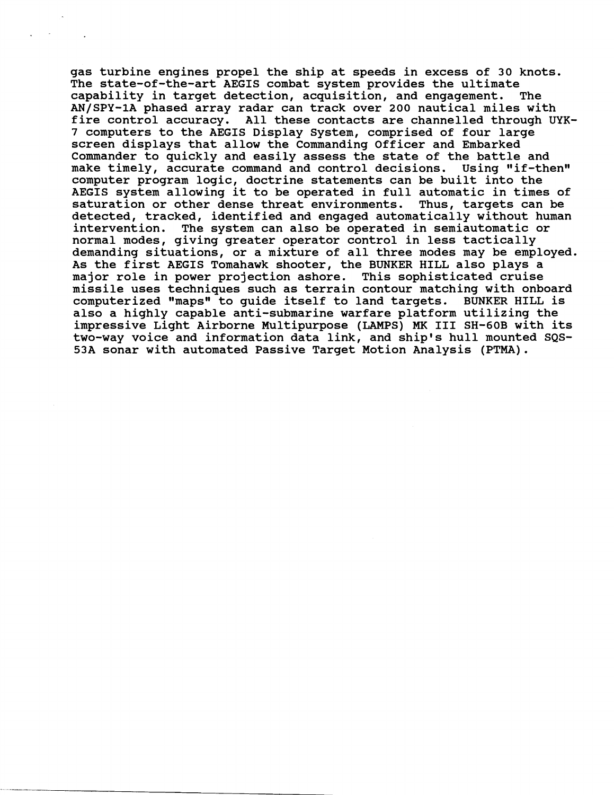**gas turbine engines propel the ship at speeds in excess of 30 knots. The state-of-the-art AEGIS combat system provides the ultimate capability in target detection, acquisition, and engagement. The AN/SPY-1A phased array radar can track over 200 nautical miles with fire control accuracy. All these contacts are channelled through UYK-7 computers to the AEGIS Display System, comprised of four large screen displays that allow the Commanding Officer and Embarked Commander to quickly and easily assess the state of the battle and**  make timely, accurate command and control decisions. Using "if-then" **computer program logic, doctrine statements can be built into the AEGIS system allowing it to be operated in full automatic in times of saturation or other dense threat environments. Thus, targets can be detected, tracked, identified and engaged automatically without human**  The system can also be operated in semiautomatic or **normal modes, giving greater operator control in less tactically demanding situations, or a mixture of all three modes may be employed. As the first AEGIS Tomahawk shooter, the BUNKER HILL also plays a major role in power projection ashore. This sophisticated cruise missile uses techniques such as terrain contour matching with onboard computerized "maps1I to guide itself to land targets. BUNKER HILL is also a highly capable anti-submarine warfare platform utilizing the impressive Light Airborne Multipurpose (LAMPS) MK I11 SH-6OB with its two-way voice and information data link, and ship's hull mounted SQS-53A sonar with automated Passive Target Motion Analysis (PTMA).**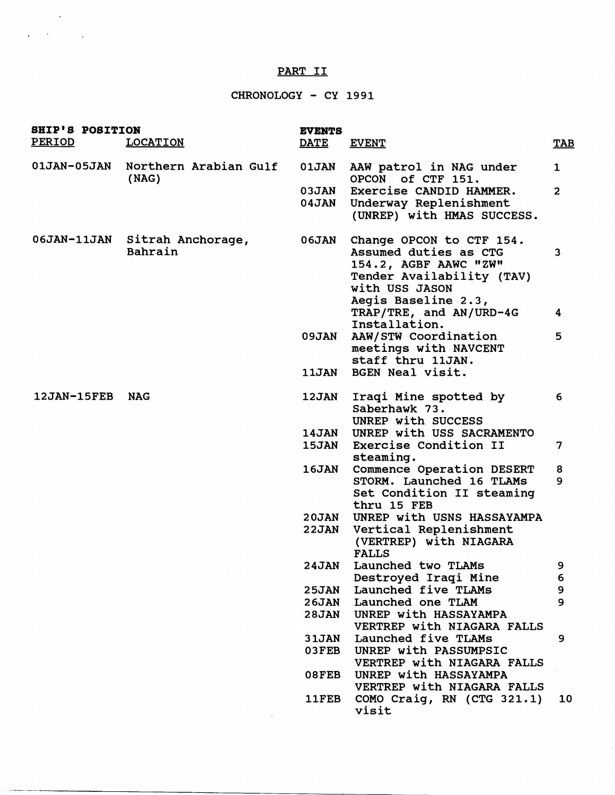# PART I1

 $\Delta \sim 200$  km s  $^{-1}$ 

 $\label{eq:3} \begin{split} \mathcal{L}^{(1)}(x) &= \mathcal{L}^{(1)}(x) + \mathcal{L}^{(2)}(x) + \mathcal{L}^{(1)}(x) + \mathcal{L}^{(2)}(x) + \mathcal{L}^{(1)}(x) + \mathcal{L}^{(2)}(x) + \mathcal{L}^{(1)}(x) + \mathcal{L}^{(2)}(x) + \mathcal{L}^{(1)}(x) + \mathcal{L}^{(2)}(x) + \mathcal{L}^{(1)}(x) + \mathcal{L}^{(2)}(x) + \mathcal{L}^{(1)}(x) + \mathcal{L}^{(2)}(x$ 

# CHRONOLOGY - CY 1991

| <b>SHIP'S POSITION</b><br>PERIOD | <b>LOCATION</b>                            | <b>EVENTS</b><br><b>DATE</b> | <b>EVENT</b>                                                                                                                                                                | <b>TAB</b>     |
|----------------------------------|--------------------------------------------|------------------------------|-----------------------------------------------------------------------------------------------------------------------------------------------------------------------------|----------------|
|                                  | 01JAN-05JAN Northern Arabian Gulf<br>(NAG) | <b>01JAN</b>                 | AAW patrol in NAG under<br>OPCON of CTF 151.                                                                                                                                | $\mathbf{1}$   |
|                                  |                                            | <b>03JAN</b><br><b>04JAN</b> | Exercise CANDID HAMMER.<br>Underway Replenishment<br>(UNREP) with HMAS SUCCESS.                                                                                             | $\overline{2}$ |
|                                  | 06JAN-11JAN Sitrah Anchorage,<br>Bahrain   | <b>06JAN</b>                 | Change OPCON to CTF 154.<br>Assumed duties as CTG<br>154.2, AGBF AAWC "ZW"<br>Tender Availability (TAV)<br>with USS JASON<br>Aegis Baseline 2.3,<br>TRAP/TRE, and AN/URD-4G | 3<br>4         |
|                                  |                                            | <b>09JAN</b>                 | Installation.<br>AAW/STW Coordination<br>meetings with NAVCENT<br>staff thru 11JAN.                                                                                         | 5              |
|                                  |                                            | <b>11JAN</b>                 | BGEN Neal visit.                                                                                                                                                            |                |
| <b>12JAN-15FEB</b>               | <b>NAG</b>                                 | <b>12JAN</b>                 | Iraqi Mine spotted by<br>Saberhawk 73.<br>UNREP with SUCCESS                                                                                                                | 6              |
|                                  |                                            | <b>14JAN</b><br><b>15JAN</b> | UNREP with USS SACRAMENTO<br>Exercise Condition II<br>steaming.                                                                                                             | 7              |
|                                  |                                            | <b>16JAN</b>                 | Commence Operation DESERT<br>STORM. Launched 16 TLAMs<br>Set Condition II steaming<br>thru 15 FEB                                                                           | 8<br>9         |
|                                  |                                            | <b>20JAN</b><br>22JAN        | UNREP with USNS HASSAYAMPA<br>Vertical Replenishment<br>(VERTREP) with NIAGARA<br><b>FALLS</b>                                                                              |                |
|                                  |                                            | <b>24JAN</b>                 | Launched two TLAMs<br>Destroyed Iraqi Mine                                                                                                                                  | 9<br>6         |
|                                  |                                            | <b>25JAN</b><br><b>26JAN</b> | Launched five TLAMs<br>Launched one TLAM                                                                                                                                    | 9<br>9         |
|                                  |                                            | <b>28JAN</b>                 | UNREP with HASSAYAMPA<br>VERTREP with NIAGARA FALLS                                                                                                                         |                |
|                                  |                                            | <b>31JAN</b>                 | Launched five TLAMs                                                                                                                                                         | 9              |
|                                  |                                            | 03FEB                        | UNREP with PASSUMPSIC<br>VERTREP with NIAGARA FALLS                                                                                                                         |                |
|                                  |                                            | 08FEB                        | UNREP with HASSAYAMPA<br>VERTREP with NIAGARA FALLS                                                                                                                         |                |
|                                  |                                            | <b>11FEB</b>                 | COMO Craig, RN (CTG 321.1)<br>visit                                                                                                                                         | 10             |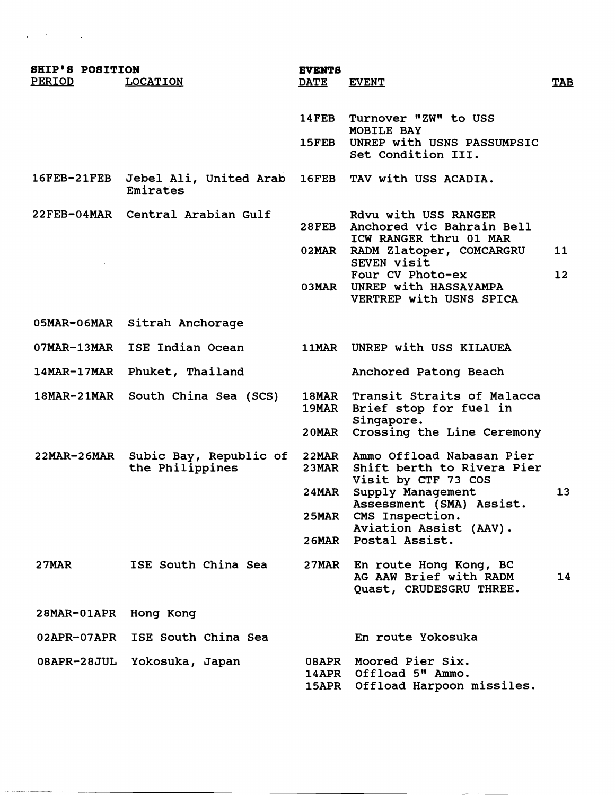| <b>SHIP'S POSITION</b> |                 | <b>EVENTS</b> |                            |
|------------------------|-----------------|---------------|----------------------------|
| <b>PERIOD</b>          | <b>LOCATION</b> | <b>DATE</b>   | <b>EVENT</b>               |
|                        |                 |               |                            |
|                        |                 | <b>14FEB</b>  | Turnover "ZW" to USS       |
|                        |                 |               | MOBILE BAY                 |
|                        |                 | 15FEB         | UNREP with USNS PASSUMPSIC |

|          | 16FEB-21FEB Jebel Ali, United Arab 16FEB TAV with USS ACADIA. |  |  |
|----------|---------------------------------------------------------------|--|--|
| Emirates |                                                               |  |  |

- 
- **22FEB-04MAR Central Arabian Gulf Rdvu with USS RANGER 28FEB Anchored vic Bahrain Bell ICW RANGER thru 01 MAR 02MAR RADM Zlatoper, COMCARGRU 11 SEVEN visit**  Four CV Photo-ex 12 **03MAR UNREP with HASSAYAMPA**

Brief stop for fuel in

Shift berth to Rivera Pier

**20MAR Crossing the Line Ceremony** 

**Visit by CTF 73 COS 24MAR Supply Management 13 Assessment (SMA) Assist.** 

**Aviation Assist (AAV).** 

**Quast, CRUDESGRU THREE.** 

**VERTREP with USNS SPICA** 

**Singapore.** 

**25MAR CMS Inspection.** 

**26MAR Postal Assist.** 

**Set Condition 111.** 

- **05MAR-O6MAR Sitrah Anchorage**
- **07MAR-13MAR ISE Indian Ocean llMAR UNREP with USS KILAUEA**
- **14MAR-17MAR Phuket, Thailand Anchored Patong Beach**
- **18MAR-21MAR South China Sea (SCS) 18MAR Transit Straits of Malacca**
- **22MAR-26MAR Subic Bay, Republic of 22MAR Ammo Offload Nabasan Pier**
- **2 7MAR ISE South China Sea 27MAR En route Hong Kong, BC**
- **28MAR-OlAPR Hong Kong**
- **02APR-07APR ISE South China Sea En route Yokosuka 08APR-28JUL Yokosuka, Japan 08APR Moored Pier Six.**  14APR Offload 5" Ammo. **15APR Offload Harpoon missiles.**

**AG AAW Brief with RADM 14**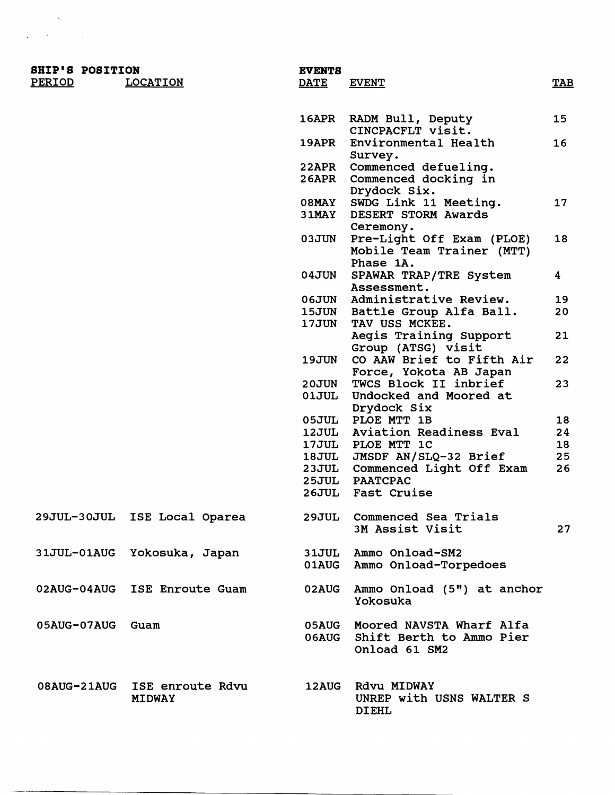| <b>SHIP'S POSITION</b><br>PERIOD | <b>LOCATION</b>                   | <b>EVENTS</b><br><b>DATE</b> | <b>EVENT</b>                                                          | <b>TAB</b> |
|----------------------------------|-----------------------------------|------------------------------|-----------------------------------------------------------------------|------------|
|                                  |                                   |                              |                                                                       |            |
|                                  |                                   | <b>16APR</b>                 | RADM Bull, Deputy<br>CINCPACFLT visit.                                | 15         |
|                                  |                                   | <b>19APR</b>                 | Environmental Health<br>Survey.                                       | 16         |
|                                  |                                   | 22APR                        | Commenced defueling.                                                  |            |
|                                  |                                   | <b>26APR</b>                 | Commenced docking in<br>Drydock Six.                                  |            |
|                                  |                                   | <b>O8MAY</b>                 | SWDG Link 11 Meeting.                                                 | 17         |
|                                  |                                   | $31$ MAY                     | <b>DESERT STORM Awards</b><br>Ceremony.                               |            |
|                                  |                                   | <b>03JUN</b>                 | Pre-Light Off Exam (PLOE)                                             | 18         |
|                                  |                                   |                              | Mobile Team Trainer (MTT)<br>Phase 1A.                                |            |
|                                  |                                   | <b>04JUN</b>                 | SPAWAR TRAP/TRE System                                                | 4          |
|                                  |                                   |                              | Assessment.                                                           |            |
|                                  |                                   | <b>06JUN</b>                 | Administrative Review.                                                | 19         |
|                                  |                                   | <b>15JUN</b>                 | Battle Group Alfa Ball.                                               | 20         |
|                                  |                                   | <b>17JUN</b>                 | TAV USS MCKEE.                                                        |            |
|                                  |                                   |                              | Aegis Training Support<br>Group (ATSG) visit                          | 21         |
|                                  |                                   | <b>19JUN</b>                 | CO AAW Brief to Fifth Air<br>Force, Yokota AB Japan                   | 22         |
|                                  |                                   | <b>20JUN</b>                 | TWCS Block II inbrief                                                 | 23         |
|                                  |                                   | 01JUL                        | Undocked and Moored at<br>Drydock Six                                 |            |
|                                  |                                   | <b>05JUL</b>                 | PLOE MTT 1B                                                           | 18         |
|                                  |                                   | 12JUL                        | Aviation Readiness Eval                                               | 24         |
|                                  |                                   | <b>17JUL</b>                 | PLOE MTT 1C                                                           | 18         |
|                                  |                                   | <b>18JUL</b>                 | JMSDF AN/SLQ-32 Brief                                                 | 25         |
|                                  |                                   | <b>23JUL</b>                 | Commenced Light Off Exam                                              | 26         |
|                                  |                                   | <b>25JUL</b>                 | <b>PAATCPAC</b>                                                       |            |
|                                  |                                   | <b>26JUL</b>                 | Fast Cruise                                                           |            |
|                                  |                                   |                              |                                                                       |            |
|                                  | 29JUL-30JUL ISE Local Oparea      | <b>29JUL</b>                 | Commenced Sea Trials<br>3M Assist Visit                               | 27         |
|                                  |                                   |                              | Ammo Onload-SM2                                                       |            |
|                                  | 31JUL-01AUG Yokosuka, Japan       | <b>31JUL</b><br>01AUG        | Ammo Onload-Torpedoes                                                 |            |
|                                  | 02AUG-04AUG ISE Enroute Guam      | <b>02AUG</b>                 | Ammo Onload (5") at anchor<br>Yokosuka                                |            |
| 05AUG-07AUG Guam                 |                                   | <b>05AUG</b><br>06AUG        | Moored NAVSTA Wharf Alfa<br>Shift Berth to Ammo Pier<br>Onload 61 SM2 |            |
| <b>08AUG-21AUG</b>               | ISE enroute Rdvu<br><b>MIDWAY</b> | <b>12AUG</b>                 | Rdvu MIDWAY<br>UNREP with USNS WALTER S<br><b>DIEHL</b>               |            |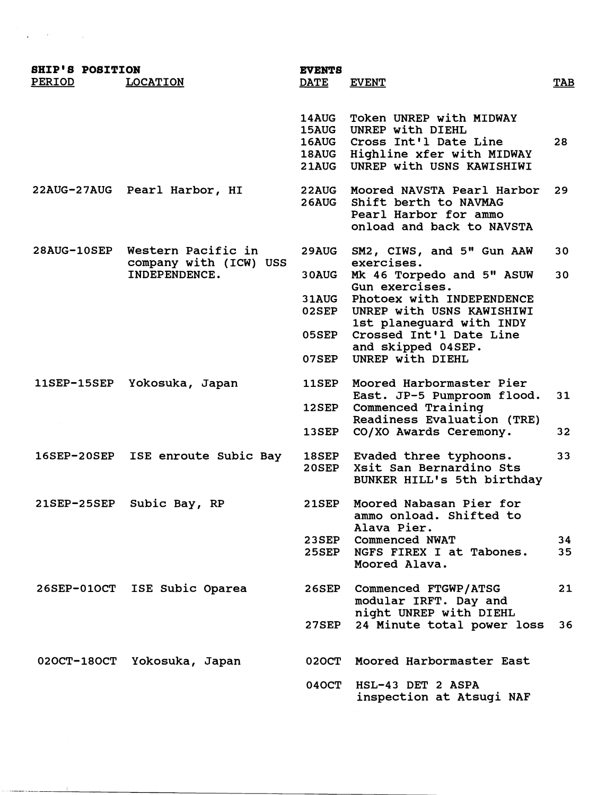| <b>SHIP'S POSITION</b> |                                         | <b>EVENTS</b>                                                |                                                                                                                                      |            |
|------------------------|-----------------------------------------|--------------------------------------------------------------|--------------------------------------------------------------------------------------------------------------------------------------|------------|
| PERIOD                 | <b>LOCATION</b>                         | <b>DATE</b>                                                  | <b>EVENT</b>                                                                                                                         | <b>TAB</b> |
|                        |                                         | <b>14AUG</b><br><b>15AUG</b><br><b>16AUG</b><br><b>21AUG</b> | Token UNREP with MIDWAY<br>UNREP with DIEHL<br>Cross Int'l Date Line<br>18AUG Highline xfer with MIDWAY<br>UNREP with USNS KAWISHIWI | 28         |
|                        | 22AUG-27AUG Pearl Harbor, HI            | <b>22AUG</b><br><b>26AUG</b>                                 | Moored NAVSTA Pearl Harbor<br>Shift berth to NAVMAG<br>Pearl Harbor for ammo<br>onload and back to NAVSTA                            | 29         |
| 28AUG-10SEP            | Western Pacific in                      | <b>29AUG</b>                                                 | SM2, CIWS, and 5" Gun AAW                                                                                                            | 30         |
|                        | company with (ICW) USS<br>INDEPENDENCE. | 30AUG                                                        | exercises.<br>Mk 46 Torpedo and 5" ASUW                                                                                              | 30         |
|                        |                                         | 31AUG<br>02SEP                                               | Gun exercises.<br>Photoex with INDEPENDENCE<br>UNREP with USNS KAWISHIWI                                                             |            |
|                        |                                         | <b>05SEP</b>                                                 | 1st planeguard with INDY<br>Crossed Int'l Date Line                                                                                  |            |
|                        |                                         | <b>07SEP</b>                                                 | and skipped 04SEP.<br>UNREP with DIEHL                                                                                               |            |
| <b>11SEP-15SEP</b>     | Yokosuka, Japan                         | 11SEP                                                        | Moored Harbormaster Pier                                                                                                             |            |
|                        |                                         | 12SEP                                                        | East. JP-5 Pumproom flood.<br>Commenced Training                                                                                     | 31         |
|                        |                                         | 13SEP                                                        | Readiness Evaluation (TRE)<br>CO/XO Awards Ceremony.                                                                                 | 32         |
| $16$ SEP-20SEP         | ISE enroute Subic Bay                   | <b>18SEP</b><br>20SEP                                        | Evaded three typhoons.<br>Xsit San Bernardino Sts<br>BUNKER HILL's 5th birthday                                                      | 33         |
| 21SEP-25SEP            | Subic Bay, RP                           | <b>21SEP</b>                                                 | Moored Nabasan Pier for<br>ammo onload. Shifted to                                                                                   |            |
|                        |                                         | <b>23SEP</b><br><b>25SEP</b>                                 | Alava Pier.<br><b>Commenced NWAT</b><br>NGFS FIREX I at Tabones.<br>Moored Alava.                                                    | 34<br>35   |
| <b>26SEP-01OCT</b>     | ISE Subic Oparea                        | <b>26SEP</b>                                                 | Commenced FTGWP/ATSG<br>modular IRFT. Day and                                                                                        | 21         |
|                        |                                         | <b>27SEP</b>                                                 | night UNREP with DIEHL<br>24 Minute total power loss                                                                                 | 36.        |
| <b>020CT-180CT</b>     | Yokosuka, Japan                         | <b>020CT</b>                                                 | Moored Harbormaster East                                                                                                             |            |
|                        |                                         | <b>040CT</b>                                                 | HSL-43 DET 2 ASPA<br>inspection at Atsugi NAF                                                                                        |            |

 $\label{eq:2.1} \frac{1}{\sqrt{2}}\sum_{i=1}^n\frac{1}{\sqrt{2}}\sum_{i=1}^n\frac{1}{\sqrt{2}}\sum_{i=1}^n\frac{1}{\sqrt{2}}\sum_{i=1}^n\frac{1}{\sqrt{2}}\sum_{i=1}^n\frac{1}{\sqrt{2}}\sum_{i=1}^n\frac{1}{\sqrt{2}}\sum_{i=1}^n\frac{1}{\sqrt{2}}\sum_{i=1}^n\frac{1}{\sqrt{2}}\sum_{i=1}^n\frac{1}{\sqrt{2}}\sum_{i=1}^n\frac{1}{\sqrt{2}}\sum_{i=1}^n\frac$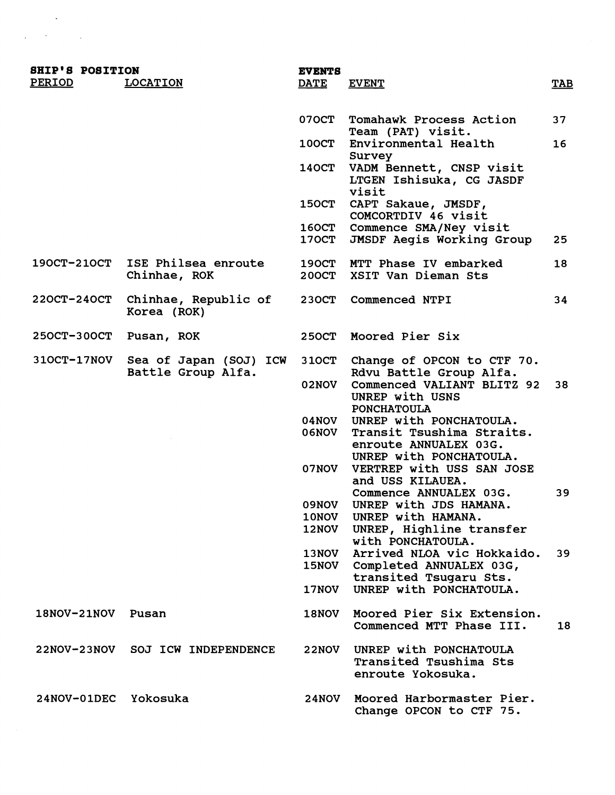| <b>SHIP'S POSITION</b> |                                              | <b>EVENTS</b>                |                                                                               |            |
|------------------------|----------------------------------------------|------------------------------|-------------------------------------------------------------------------------|------------|
| PERIOD                 | <b>LOCATION</b>                              | <b>DATE</b>                  | <b>EVENT</b>                                                                  | <b>TAB</b> |
|                        |                                              |                              |                                                                               |            |
|                        |                                              | 070CT                        | Tomahawk Process Action<br>Team (PAT) visit.                                  | 37         |
|                        |                                              | 100CT                        | Environmental Health<br>Survey                                                | 16         |
|                        |                                              | <b>140CT</b>                 | VADM Bennett, CNSP visit<br>LTGEN Ishisuka, CG JASDF<br>visit                 |            |
|                        |                                              | <b>150CT</b>                 | CAPT Sakaue, JMSDF,<br>COMCORTDIV 46 visit                                    |            |
|                        |                                              | <b>160CT</b>                 | Commence SMA/Ney visit                                                        |            |
|                        |                                              | <b>170CT</b>                 | JMSDF Aegis Working Group                                                     | 25         |
| 190CT-210CT            | ISE Philsea enroute<br>Chinhae, ROK          | <b>190CT</b><br><b>200CT</b> | MTT Phase IV embarked<br>XSIT Van Dieman Sts                                  | 18         |
| $220CT-240CT$          | Chinhae, Republic of<br>Korea (ROK)          | <b>230CT</b>                 | Commenced NTPI                                                                | 34         |
| 250CT-300CT Pusan, ROK |                                              | <b>250CT</b>                 | Moored Pier Six                                                               |            |
| <b>310CT-17NOV</b>     | Sea of Japan (SOJ) ICW<br>Battle Group Alfa. | <b>310CT</b>                 | Change of OPCON to CTF 70.<br>Rdvu Battle Group Alfa.                         |            |
|                        |                                              | 02NOV                        | Commenced VALIANT BLITZ 92<br>UNREP with USNS<br><b>PONCHATOULA</b>           | 38         |
|                        |                                              | 04NOV<br><b>O6NOV</b>        | UNREP with PONCHATOULA.<br>Transit Tsushima Straits.<br>enroute ANNUALEX 03G. |            |
|                        |                                              | 07NOV                        | UNREP with PONCHATOULA.<br>VERTREP with USS SAN JOSE<br>and USS KILAUEA.      |            |
|                        |                                              | <b>09NOV</b>                 | Commence ANNUALEX 03G.<br>UNREP with JDS HAMANA.                              | 39         |
|                        |                                              | <b>10NOV</b>                 | UNREP with HAMANA.                                                            |            |
|                        |                                              | <b>12NOV</b>                 | UNREP, Highline transfer<br>with PONCHATOULA.                                 |            |
|                        |                                              | <b>13NOV</b><br><b>15NOV</b> | Arrived NLOA vic Hokkaido.<br>Completed ANNUALEX 03G,                         | 39         |
|                        |                                              |                              | transited Tsugaru Sts.                                                        |            |
|                        |                                              | 17NOV                        | UNREP with PONCHATOULA.                                                       |            |
| $18NOV - 21NOV$        | Pusan                                        | <b>18NOV</b>                 | Moored Pier Six Extension.<br>Commenced MTT Phase III.                        | 18         |
| <b>22NOV-23NOV</b>     | SOJ ICW INDEPENDENCE                         | <b>22NOV</b>                 | UNREP with PONCHATOULA<br>Transited Tsushima Sts<br>enroute Yokosuka.         |            |
| 24NOV-01DEC            | Yokosuka                                     | <b>24NOV</b>                 | Moored Harbormaster Pier.<br>Change OPCON to CTF 75.                          |            |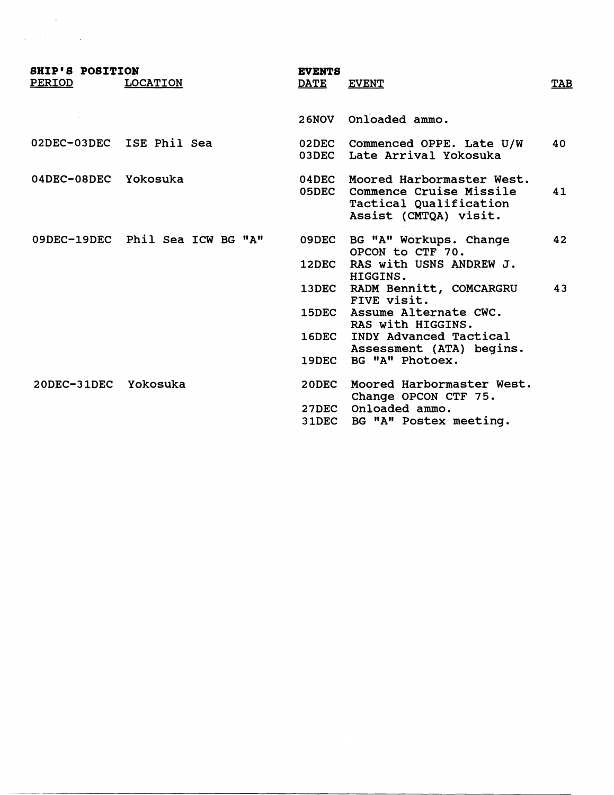| <b>SHIP'S POSITION</b> |                                 | <b>EVENTS</b>     |                                                                                                         |            |
|------------------------|---------------------------------|-------------------|---------------------------------------------------------------------------------------------------------|------------|
| <b>PERIOD</b>          | <b>LOCATION</b>                 | <b>DATE</b>       | <b>EVENT</b>                                                                                            | <b>TAB</b> |
|                        |                                 | <b>26NOV</b>      | Onloaded ammo.                                                                                          |            |
|                        | 02DEC-03DEC ISE Phil Sea        | 02DEC<br>03DEC    | Commenced OPPE. Late U/W<br>Late Arrival Yokosuka                                                       | 40         |
| 04DEC-08DEC Yokosuka   |                                 | $04$ DEC<br>05DEC | Moored Harbormaster West.<br>Commence Cruise Missile<br>Tactical Qualification<br>Assist (CMTQA) visit. | 41         |
|                        | 09DEC-19DEC Phil Sea ICW BG "A" | 09DEC             | BG "A" Workups. Change<br>OPCON to CTF 70.                                                              | 42         |
|                        |                                 | 12DEC             | RAS with USNS ANDREW J.<br>HIGGINS.                                                                     |            |
|                        |                                 | <b>13DEC</b>      | RADM Bennitt, COMCARGRU<br>FIVE visit.                                                                  | 43         |
|                        |                                 | <b>15DEC</b>      | Assume Alternate CWC.<br>RAS with HIGGINS.                                                              |            |
|                        |                                 | <b>16DEC</b>      | INDY Advanced Tactical<br>Assessment (ATA) begins.                                                      |            |
|                        |                                 | 19DEC -           | BG "A" Photoex.                                                                                         |            |
| 20DEC-31DEC Yokosuka   |                                 | $20$ DEC          | Moored Harbormaster West.<br>Change OPCON CTF 75.                                                       |            |
|                        |                                 | 27DEC             | Onloaded ammo.                                                                                          |            |
|                        |                                 | 31DEC             | BG "A" Postex meeting.                                                                                  |            |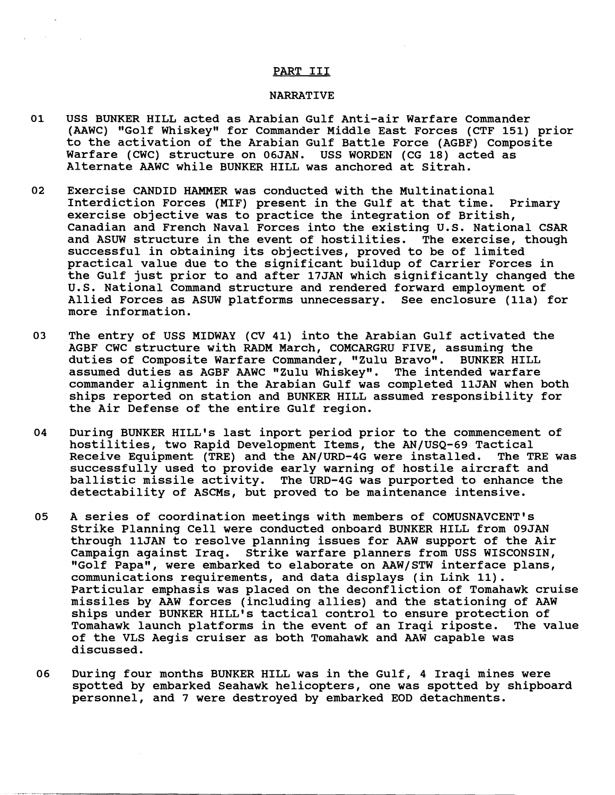### PART I11

#### NARRATIVE

- 01 USS BUNKER HILL acted as Arabian Gulf Anti-air Warfare Commander (AAWC) "Golf Whiskey" for Commander Middle East Forces (CTF 151) prior to the activation of the Arabian Gulf Battle Force (AGBF) Composite Warfare (CWC) structure on 06JAN. USS WORDEN (CG 18) acted as Alternate AAWC while BUNKER HILL was anchored at Sitrah.
- 02 Exercise CANDID HAMMER was conducted with the Multinational Interdiction Forces (MIF) present in the Gulf at that time. Primary exercise objective was to practice the integration of British, Canadian and French Naval Forces into the existing U.S. National CSAR<br>and ASUW structure in the event of hostilities. The exercise, though and ASUW structure in the event of hostilities. successful in obtaining its objectives, proved to be of limited practical value due to the significant buildup of Carrier Forces in the Gulf just prior to and after 17JAN which significantly changed the U.S. National Command structure and rendered forward employment of Allied Forces as ASUW platforms unnecessary. See enclosure (lla) for more information.
- 03 The entry of USS MIDWAY (CV 41) into the Arabian Gulf activated the AGBF CWC structure with RADM March, COMCARGRU FIVE, assuming the duties of Composite Warfare Commander, "Zulu Bravo". BUNKER HILL assumed duties as AGBF AAWC "Zulu Whiskey". The intended warfare commander alignment in the Arabian Gulf was completed llJAN when both ships reported on station and BUNKER HILL assumed responsibility for the Air Defense of the entire Gulf region.
- 04 During BUNKER HILL'S last inport period prior to the commencement of hostilities, two Rapid Development Items, the AN/USQ-69 Tactical<br>Receive Equipment (TRE) and the AN/URD-4G were installed. The TRE was Receive Equipment (TRE) and the AN/URD-4G were installed. successfully used to provide early warning of hostile aircraft and ballistic missile activity. The URD-4G was purported to enhance the detectability of ASCMs, but proved to be maintenance intensive.
- 05 A series of coordination meetings with members of COMUSNAVCENT's Strike Planning Cell were conducted onboard BUNKER HILL from 09JAN through llJAN to resolve planning issues for AAW support of the Air Campaign against Iraq. Strike warfare planners from USS WISCONSIN, "Golf Papa", were embarked to elaborate on AAW/STW interface plans, communications requirements, and data displays (in Link 11). Particular emphasis was placed on the deconfliction of Tomahawk cruise missiles by AAW forces (including allies) and the stationing of **AAW**  ships under BUNKER HILL'S tactical control to ensure protection of Tomahawk launch platforms in the event of an Iraqi riposte. The value of the VLS Aegis cruiser as both Tomahawk and AAW capable was discussed.
- 06 During four months BUNKER HILL was in the Gulf, 4 Iraqi mines were spotted by embarked Seahawk helicopters, one was spotted by shipboard personnel, and 7 were destroyed by embarked EOD detachments.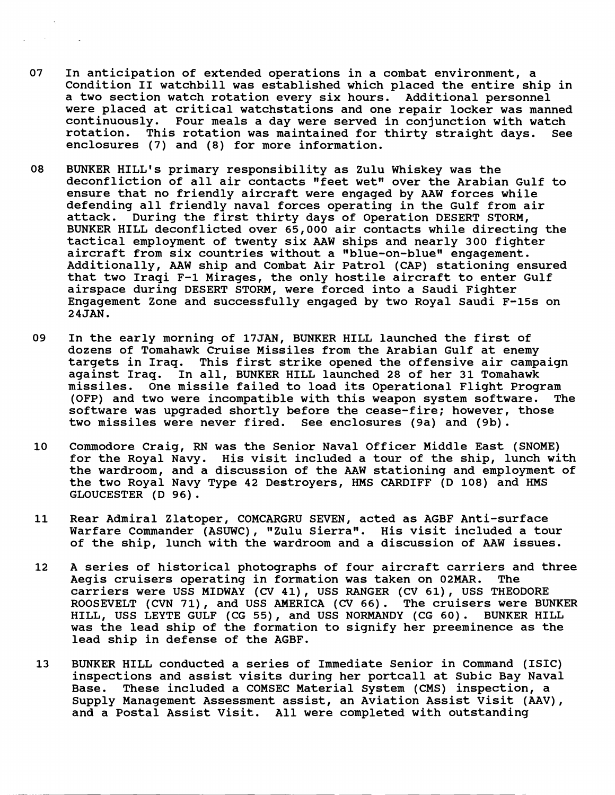- 07 In anticipation of extended operations in a combat environment, a Condition I1 watchbill was established which placed the entire ship in a two section watch rotation every six hours. Additional personnel were placed at critical watchstations and one repair locker was manned continuously. Four meals a day were served in conjunction with watch<br>rotation. This rotation was maintained for thirty straight days. See rotation. This rotation was maintained for thirty straight days. enclosures (7) and (8) for more information.
- 08 BUNKER HILL1s primary responsibility as Zulu Whiskey was the deconfliction of all air contacts "feet wet" over the Arabian Gulf to ensure that no friendly aircraft were engaged by AAW forces while defending all friendly naval forces operating in the Gulf from air<br>attack. During the first thirty davs of Operation DESERT STORM. During the first thirty days of Operation DESERT STORM, BUNKER HILL deconflicted over 65,000 air contacts while directing the tactical employment of twenty six **AAW** ships and nearly 300 fighter aircraft from six countries without a "blue-on-blue" engagement. Additionally, AAW ship and Combat Air Patrol (CAP) stationing ensured that two Iraqi F-1 Mirages, the only hostile aircraft to enter Gulf airspace during DESERT STORM, were forced into a Saudi Fighter Engagement Zone and successfully engaged by two Royal Saudi F-15s on  $24JAN.$
- 09 In the early morning of 17JAN, BUNKER HILL launched the first of dozens of Tomahawk Cruise Missiles from the Arabian Gulf at enemy targets in Iraq. This first strike opened the offensive air campaign<br>against Iraq. In all, BUNKER HILL launched 28 of her 31 Tomahawk against Iraq. In all, BUNKER HILL launched 28 of her 31 Tomahawk One missile failed to load its Operational Flight Program<br>wo were incompatible with this weapon system software. The (OFP) and two were incompatible with this weapon system software. software was upgraded shortly before the cease-fire; however, those two missiles were never fired. See enclosures (9a) and **(9b).**
- 10 Commodore Craig, RN was the Senior Naval Officer Middle East (SNOME) for the Royal Navy. His visit included a tour of the ship, lunch with the wardroom, and a discussion of the AAW stationing and employment of the two Royal Navy Type 42 Destroyers, HMS CARDIFF (D 108) and HMS GLOUCESTER (D 96) .
- 11 Rear Admiral Zlatoper, COMCARGRU SEVEN, acted as AGBF Anti-surface Warfare Commander (ASUWC), "Zulu Sierra". His visit included a tour of the ship, lunch with the wardroom and a discussion of AAW issues.
- 12 A series of historical photographs of four aircraft carriers and three Aegis cruisers operating in formation was taken on 02MAR. The carriers were USS MIDWAY (CV 41), USS RANGER (CV 61), USS THEODORE ROOSEVELT (CVN 71), and USS AMERICA (CV 66). The cruisers were BUNKER HILL, USS LEYTE GULF (CG 55), and USS NORMANDY (CG 60). BUNKER HILL was the lead ship of the formation to signify her preeminence as the lead ship in defense of the AGBF.
- 13 BUNKER HILL conducted a series of Immediate Senior in Command (ISIC) inspections and assist visits during her portcall at Subic Bay Naval Base. These included a COMSEC Material System (CMS) inspection, a Supply Management Assessment assist, an Aviation Assist Visit (AAV), and a Postal Assist Visit. All were completed with outstanding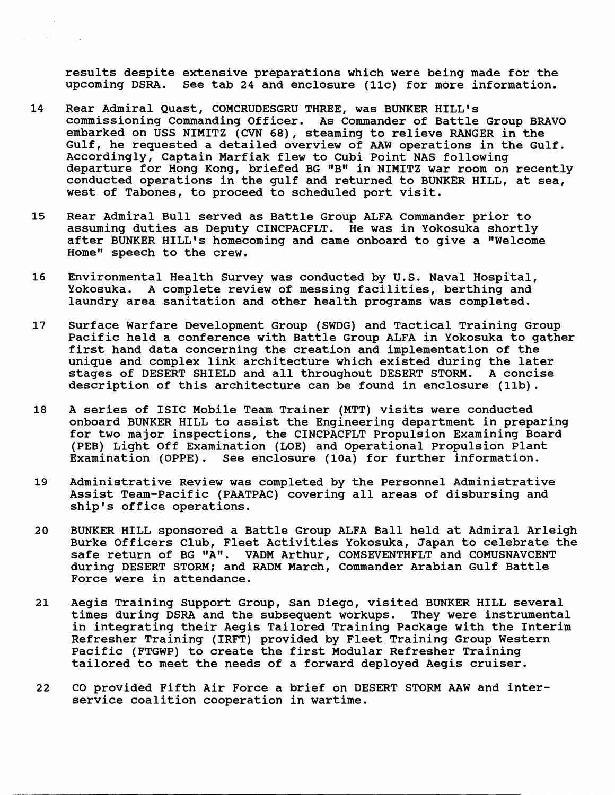results despite extensive preparations which were being made for the upcoming DSRA. See tab 24 and enclosure (11c) for more information. See tab 24 and enclosure (11c) for more information.

- 14 Rear Admiral Quast, COMCRUDESGRU THREE, was BUNKER HILL'S commissioning Commanding Officer. As Commander of Battle Group BRAVO embarked on USS NIMITZ (CVN 68), steaming to relieve RANGER in the Gulf, he requested a detailed overview of AAW operations in the Gulf. Accordingly, Captain Marfiak flew to Cubi Point NAS following departure for Hong Kong, briefed BG "B" in NIMITZ war room on recently conducted operations in the gulf and returned to BUNKER HILL, at sea, west of Tabones, to proceed to scheduled port visit.
- 15 Rear Admiral Bull served as Battle Group ALFA Commander prior to assuming duties as Deputy CINCPACFLT. He was in Yokosuka shortly after BUNKER HILL's homecoming and came onboard to give a "Welcome Homew speech to the crew.
- 16 Environmental Health Survey was conducted by U.S. Naval Hospital, Yokosuka. A complete review of messing facilities, berthing and laundry area sanitation and other health programs was completed.
- 17 Surface Warfare Development Group (SWDG) and Tactical Training Group Pacific held a conference with Battle Group ALFA in Yokosuka to gather first hand data concerning the creation and implementation of the unique and complex link architecture which existed during the later stages of DESERT SHIELD and all throughout DESERT STORM. A concise description of this architecture can be found in enclosure (11b).
- 18 A series of ISIC Mobile Team Trainer (MTT) visits were conducted onboard BUNKER HILL to assist the Engineering department in preparing for two major inspections, the CINCPACFLT Propulsion Examining Board (PEB) Light Off Examination (LOE) and Operational Propulsion Plant Examination (OPPE). See enclosure (10a) for further information.
- 19 Administrative Review was completed by the Personnel Administrative Assist Team-Pacific (PAATPAC) covering all areas of disbursing and ship's office operations.
- 20 BUNKER HILL sponsored a Battle Group ALFA Ball held at Admiral Arleigh Burke Officers Club, Fleet Activities Yokosuka, Japan to celebrate the safe return of BG "A". VADM Arthur, COMSEVENTHFLT and COMUSNAVCENT during DESERT STORM; and RADM March, Commander Arabian Gulf Battle Force were in attendance.
- 21 Aegis Training Support Group, San Diego, visited BUNKER HILL several times during DSRA and the subsequent workups. They were instrumental in integrating their Aegis Tailored Training Package with the Interim Refresher Training (IRFT) provided by Fleet Training Group Western Pacific (FTGWP) to create the first Modular Refresher Training tailored to meet the needs of a forward deployed Aegis cruiser.
- 22 CO provided Fifth Air Force a brief on DESERT STORM AAW and interservice coalition cooperation in wartime.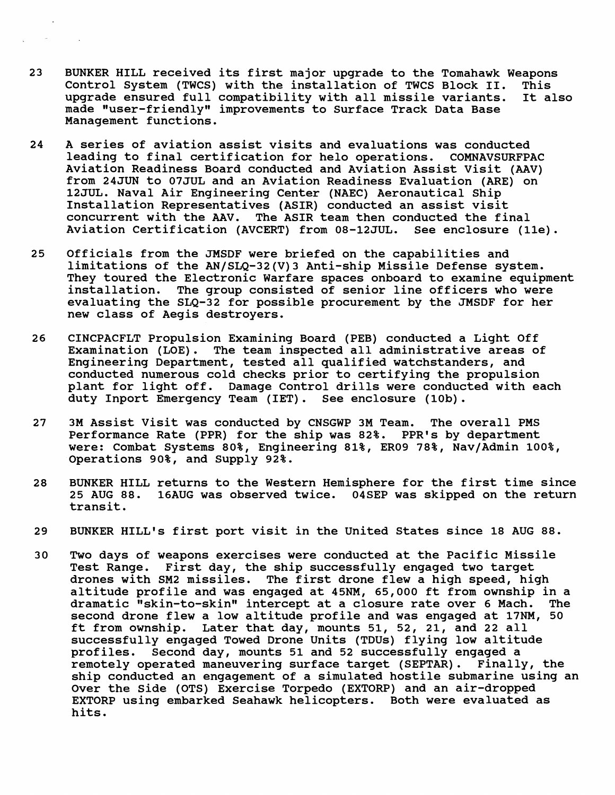- $23$ BUNKER HILL received its first major upgrade to the Tomahawk Weapons Control System (TWCS) with the installation of TWCS Block 11. This upgrade ensured full compatibility with all missile variants. made "user-friendly" improvements to Surface Track Data Base Management functions.
- 24 A series of aviation assist visits and evaluations was conducted leading to final certification for helo operations. COMNAVSURFPAC Aviation Readiness Board conducted and Aviation Assist Visit (AAV) from 24JUN to 07JUL and an Aviation Readiness Evaluation (ARE) on 12JUL. Naval Air Engineering Center (NAEC) Aeronautical Ship Installation Representatives (ASIR) conducted an assist visit concurrent with the AAV. The ASIR team then conducted the final Aviation Certification (AVCERT) from 08-12JUL. See enclosure (lle).
- 25 Officials from the JMSDF were briefed on the capabilities and limitations of the AN/SLQ-32(V)3 Anti-ship Missile Defense system. They toured the Electronic Warfare spaces onboard to examine equipment<br>installation. The group consisted of senior line officers who were The group consisted of senior line officers who were evaluating the SLQ-32 for possible procurement by the JMSDF for her new class of Aegis destroyers.
- 26 CINCPACFLT Propulsion Examining Board (PEB) conducted a Light Off Examination (LOE). The team inspected all administrative areas of Engineering Department, tested all qualified watchstanders, and conducted numerous cold checks prior to certifying the propulsion plant for light off. Damage Control drills were conducted with each duty Inport Emergency Team (IET). See enclosure (10b).
- $27$ 3M Assist Visit was conducted by CNSGWP 3M Team. The overall PMS Performance Rate (PPR) for the ship was 82%. PPR's by department were: Combat Systems 80%, Engineering 81%, ER09 78%, Nav/Admin 100%, Operations 90%, and Supply 92%.
- 28 BUNKER HILL returns to the Western Hemisphere for the first time since 25 AUG 88. 16AUG was observed twice. 04SEP was skipped on the return transit.
- BUNKER HILL'S first port visit in the United States since 18 AUG 88. 29
- $30<sub>o</sub>$ Two days of weapons exercises were conducted at the Pacific Missile Test Range. First day, the ship successfully engaged two target drones with SM2 missiles. The first drone flew a high speed, high altitude profile and was engaged at 45NM, 65,000 ft from ownship in a dramatic "skin-to-skin" intercept at a closure rate over 6 Mach. second drone flew a low altitude profile and was engaged at 17NM, 50 ft from ownship. Later that day, mounts 51, 52, 21, and 22 all successfully engaged Towed Drone Units (TDUs) flying low altitude profiles. Second day, mounts 51 and 52 successfully engaged a remotely operated maneuvering surface target (SEPTAR). Finally, the ship conducted an engagement of a simulated hostile submarine using an Over the Side (OTS) Exercise Torpedo (EXTORP) and an air-dropped EXTORP using embarked Seahawk helicopters. Both were evaluated as hits.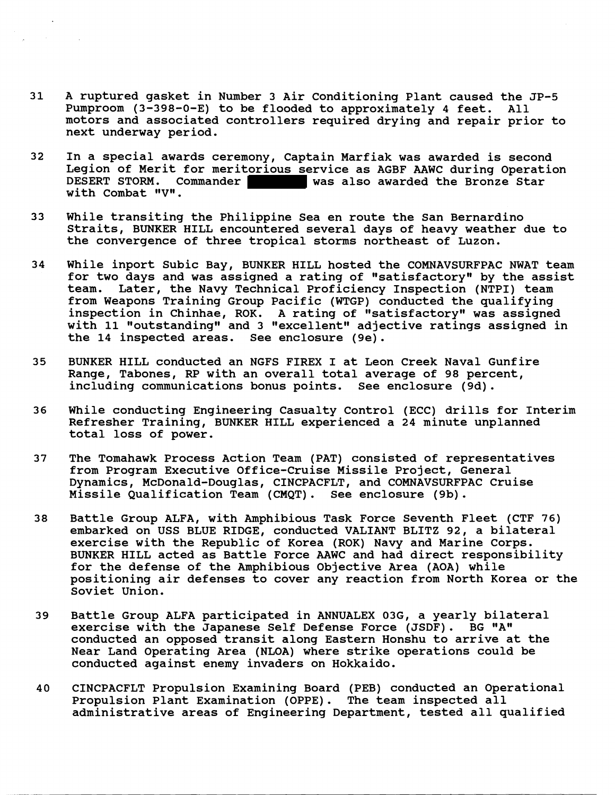- $31$ **A ruptured gasket in Number 3 Air Conditioning Plant caused the JP-5 Pumproom (3-398-0-E) to be flooded to approximately 4 feet. All motors and associated controllers required drying and repair prior to next underway period.**
- $32<sub>2</sub>$ **In a special awards ceremony, Captain Marfiak was awarded is second Legion of Merit for meritorious service as AGBF AAWC during Operation DESERT STORM. Commander was also awarded the Bronze Star**  with Combat "V".
- 33 **While transiting the Philippine Sea en route the San Bernardino Straits, BUNKER HILL encountered several days of heavy weather due to the convergence of three tropical storms northeast of Luzon.**
- 34 **While inport Subic Bay, BUNKER HILL hosted the COMNAVSURFPAC NWAT team**  for two days and was assigned a rating of "satisfactory" by the assist **team. Later, the Navy Technical proficiency Inspection (NTPI) team from Weapons Training Group Pacific (WTGP) conducted the qualifying**  inspection in Chinhae, ROK. A rating of "satisfactory" was assigned with 11 "outstanding" and 3 "excellent" adjective ratings assigned in **the 14 inspected areas. See enclosure (9e).**
- 35 **BUNKER HILL conducted an NGFS FIREX I at Leon Creek Naval Gunfire Range, Tabones, RP with an overall total average of 98 percent, including communications bonus points. See enclosure (9d).**
- 36 **While conducting Engineering Casualty Control (ECC) drills for Interim Refresher Training, BUNKER HILL experienced a 24 minute unplanned total loss of power.**
- 37 **The Tomahawk Process Action Team (PAT) consisted of representatives from Program Executive Office-Cruise Missile Project, General Dynamics, McDonald-Douglas, CINCPACFLT, and COMNAVSURFPAC Cruise Missile Qualification Team (CMQT). See enclosure (9b).**
- 38 **Battle Group ALFA, with Amphibious Task Force Seventh Fleet (CTF 76) embarked on USS BLUE RIDGE, conducted VALIANT BLITZ 92, a bilateral exercise with the Republic of Korea (ROK) Navy and Marine Corps. BUNKER HILL acted as Battle Force AAWC and had direct responsibility for the defense of the Amphibious Objective Area (AOA) while positioning air defenses to cover any reaction from North Korea or the Soviet Union.**
- **Battle Group ALFA participated in ANNUALEX 03G, a yearly bilateral**  39 exercise with the Japanese Self Defense Force (JSDF). **conducted an opposed transit along Eastern Honshu to arrive at the Near Land Operating Area (NLOA) where strike operations could be conducted against enemy invaders on Hokkaido.**
- **CINCPACFLT Propulsion Examining Board (PEB) conducted an Operational**  40 **Propulsion Plant Examination (OPPE). The team inspected all administrative areas of Engineering Department, tested all qualified**